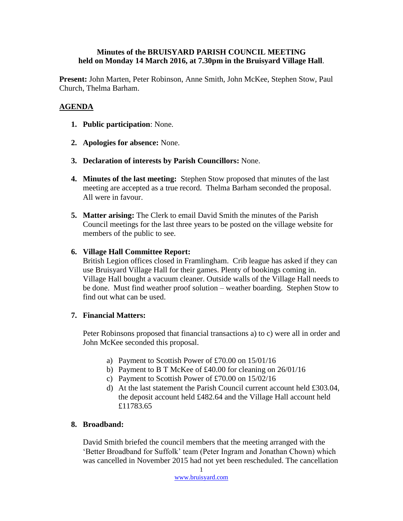### **Minutes of the BRUISYARD PARISH COUNCIL MEETING held on Monday 14 March 2016, at 7.30pm in the Bruisyard Village Hall**.

**Present:** John Marten, Peter Robinson, Anne Smith, John McKee, Stephen Stow, Paul Church, Thelma Barham.

# **AGENDA**

- **1. Public participation**: None.
- **2. Apologies for absence:** None.
- **3. Declaration of interests by Parish Councillors:** None.
- **4. Minutes of the last meeting:** Stephen Stow proposed that minutes of the last meeting are accepted as a true record. Thelma Barham seconded the proposal. All were in favour.
- **5. Matter arising:** The Clerk to email David Smith the minutes of the Parish Council meetings for the last three years to be posted on the village website for members of the public to see.

### **6. Village Hall Committee Report:**

British Legion offices closed in Framlingham. Crib league has asked if they can use Bruisyard Village Hall for their games. Plenty of bookings coming in. Village Hall bought a vacuum cleaner. Outside walls of the Village Hall needs to be done. Must find weather proof solution – weather boarding. Stephen Stow to find out what can be used.

# **7. Financial Matters:**

Peter Robinsons proposed that financial transactions a) to c) were all in order and John McKee seconded this proposal.

- a) Payment to Scottish Power of £70.00 on 15/01/16
- b) Payment to B T McKee of £40.00 for cleaning on 26/01/16
- c) Payment to Scottish Power of £70.00 on 15/02/16
- d) At the last statement the Parish Council current account held £303.04, the deposit account held £482.64 and the Village Hall account held £11783.65

# **8. Broadband:**

David Smith briefed the council members that the meeting arranged with the 'Better Broadband for Suffolk' team (Peter Ingram and Jonathan Chown) which was cancelled in November 2015 had not yet been rescheduled. The cancellation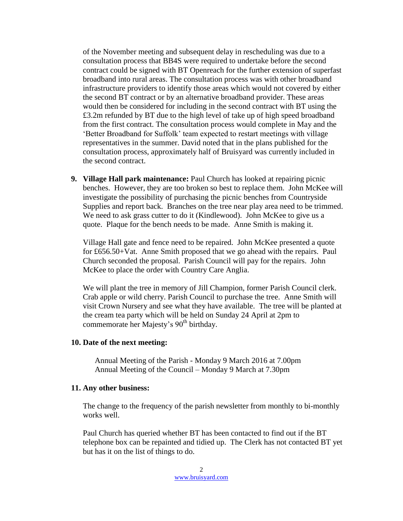of the November meeting and subsequent delay in rescheduling was due to a consultation process that BB4S were required to undertake before the second contract could be signed with BT Openreach for the further extension of superfast broadband into rural areas. The consultation process was with other broadband infrastructure providers to identify those areas which would not covered by either the second BT contract or by an alternative broadband provider. These areas would then be considered for including in the second contract with BT using the £3.2m refunded by BT due to the high level of take up of high speed broadband from the first contract. The consultation process would complete in May and the 'Better Broadband for Suffolk' team expected to restart meetings with village representatives in the summer. David noted that in the plans published for the consultation process, approximately half of Bruisyard was currently included in the second contract.

**9. Village Hall park maintenance:** Paul Church has looked at repairing picnic benches. However, they are too broken so best to replace them. John McKee will investigate the possibility of purchasing the picnic benches from Countryside Supplies and report back. Branches on the tree near play area need to be trimmed. We need to ask grass cutter to do it (Kindlewood). John McKee to give us a quote. Plaque for the bench needs to be made. Anne Smith is making it.

Village Hall gate and fence need to be repaired. John McKee presented a quote for £656.50+Vat. Anne Smith proposed that we go ahead with the repairs. Paul Church seconded the proposal. Parish Council will pay for the repairs. John McKee to place the order with Country Care Anglia.

We will plant the tree in memory of Jill Champion, former Parish Council clerk. Crab apple or wild cherry. Parish Council to purchase the tree. Anne Smith will visit Crown Nursery and see what they have available. The tree will be planted at the cream tea party which will be held on Sunday 24 April at 2pm to commemorate her Majesty's 90<sup>th</sup> birthday.

#### **10. Date of the next meeting:**

Annual Meeting of the Parish - Monday 9 March 2016 at 7.00pm Annual Meeting of the Council – Monday 9 March at 7.30pm

#### **11. Any other business:**

The change to the frequency of the parish newsletter from monthly to bi-monthly works well.

Paul Church has queried whether BT has been contacted to find out if the BT telephone box can be repainted and tidied up. The Clerk has not contacted BT yet but has it on the list of things to do.